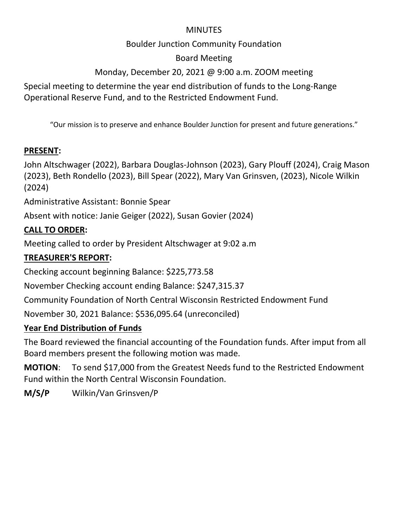#### **MINUTES**

#### Boulder Junction Community Foundation

#### Board Meeting

## Monday, December 20, 2021 @ 9:00 a.m. ZOOM meeting

Special meeting to determine the year end distribution of funds to the Long-Range Operational Reserve Fund, and to the Restricted Endowment Fund.

"Our mission is to preserve and enhance Boulder Junction for present and future generations."

#### **PRESENT:**

John Altschwager (2022), Barbara Douglas-Johnson (2023), Gary Plouff (2024), Craig Mason (2023), Beth Rondello (2023), Bill Spear (2022), Mary Van Grinsven, (2023), Nicole Wilkin (2024)

Administrative Assistant: Bonnie Spear

Absent with notice: Janie Geiger (2022), Susan Govier (2024)

#### **CALL TO ORDER:**

Meeting called to order by President Altschwager at 9:02 a.m

#### **TREASURER'S REPORT:**

Checking account beginning Balance: \$225,773.58

November Checking account ending Balance: \$247,315.37

Community Foundation of North Central Wisconsin Restricted Endowment Fund

November 30, 2021 Balance: \$536,095.64 (unreconciled)

### **Year End Distribution of Funds**

The Board reviewed the financial accounting of the Foundation funds. After imput from all Board members present the following motion was made.

**MOTION**: To send \$17,000 from the Greatest Needs fund to the Restricted Endowment Fund within the North Central Wisconsin Foundation.

**M/S/P** Wilkin/Van Grinsven/P